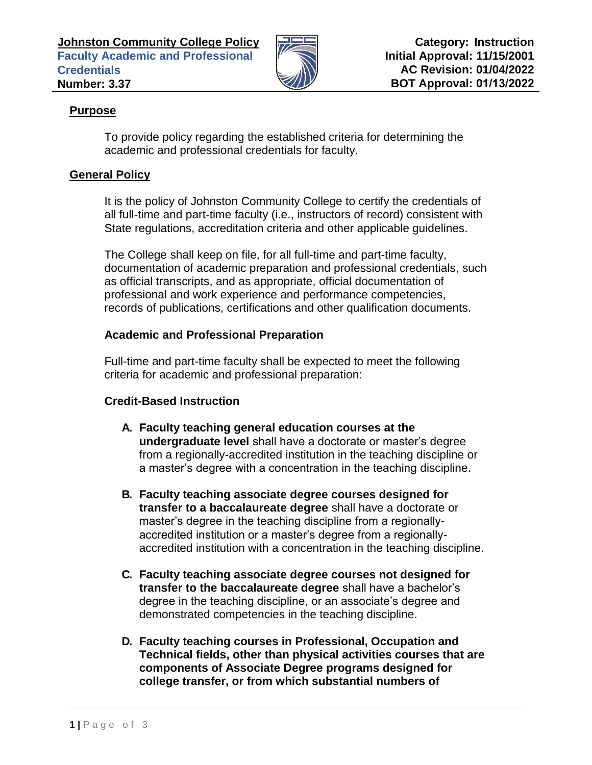

## **Purpose**

To provide policy regarding the established criteria for determining the academic and professional credentials for faculty.

## **General Policy**

It is the policy of Johnston Community College to certify the credentials of all full-time and part-time faculty (i.e., instructors of record) consistent with State regulations, accreditation criteria and other applicable guidelines.

The College shall keep on file, for all full-time and part-time faculty, documentation of academic preparation and professional credentials, such as official transcripts, and as appropriate, official documentation of professional and work experience and performance competencies, records of publications, certifications and other qualification documents.

## **Academic and Professional Preparation**

Full-time and part-time faculty shall be expected to meet the following criteria for academic and professional preparation:

# **Credit-Based Instruction**

- **A. Faculty teaching general education courses at the undergraduate level** shall have a doctorate or master's degree from a regionally-accredited institution in the teaching discipline or a master's degree with a concentration in the teaching discipline.
- **B. Faculty teaching associate degree courses designed for transfer to a baccalaureate degree** shall have a doctorate or master's degree in the teaching discipline from a regionallyaccredited institution or a master's degree from a regionallyaccredited institution with a concentration in the teaching discipline.
- **C. Faculty teaching associate degree courses not designed for transfer to the baccalaureate degree** shall have a bachelor's degree in the teaching discipline, or an associate's degree and demonstrated competencies in the teaching discipline.
- **D. Faculty teaching courses in Professional, Occupation and Technical fields, other than physical activities courses that are components of Associate Degree programs designed for college transfer, or from which substantial numbers of**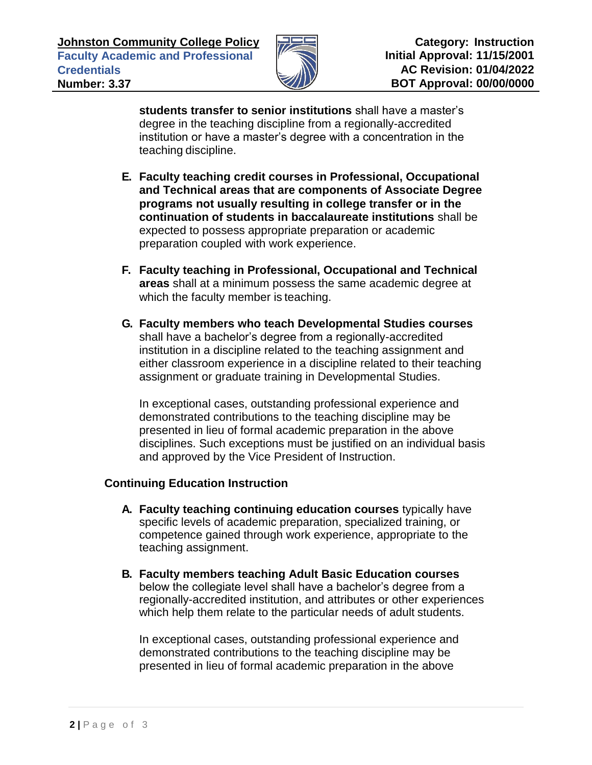

**students transfer to senior institutions** shall have a master's degree in the teaching discipline from a regionally-accredited institution or have a master's degree with a concentration in the teaching discipline.

- **E. Faculty teaching credit courses in Professional, Occupational and Technical areas that are components of Associate Degree programs not usually resulting in college transfer or in the continuation of students in baccalaureate institutions** shall be expected to possess appropriate preparation or academic preparation coupled with work experience.
- **F. Faculty teaching in Professional, Occupational and Technical areas** shall at a minimum possess the same academic degree at which the faculty member is teaching.
- **G. Faculty members who teach Developmental Studies courses**  shall have a bachelor's degree from a regionally-accredited institution in a discipline related to the teaching assignment and either classroom experience in a discipline related to their teaching assignment or graduate training in Developmental Studies.

In exceptional cases, outstanding professional experience and demonstrated contributions to the teaching discipline may be presented in lieu of formal academic preparation in the above disciplines. Such exceptions must be justified on an individual basis and approved by the Vice President of Instruction.

### **Continuing Education Instruction**

- **A. Faculty teaching continuing education courses** typically have specific levels of academic preparation, specialized training, or competence gained through work experience, appropriate to the teaching assignment.
- **B. Faculty members teaching Adult Basic Education courses**  below the collegiate level shall have a bachelor's degree from a regionally-accredited institution, and attributes or other experiences which help them relate to the particular needs of adult students.

In exceptional cases, outstanding professional experience and demonstrated contributions to the teaching discipline may be presented in lieu of formal academic preparation in the above